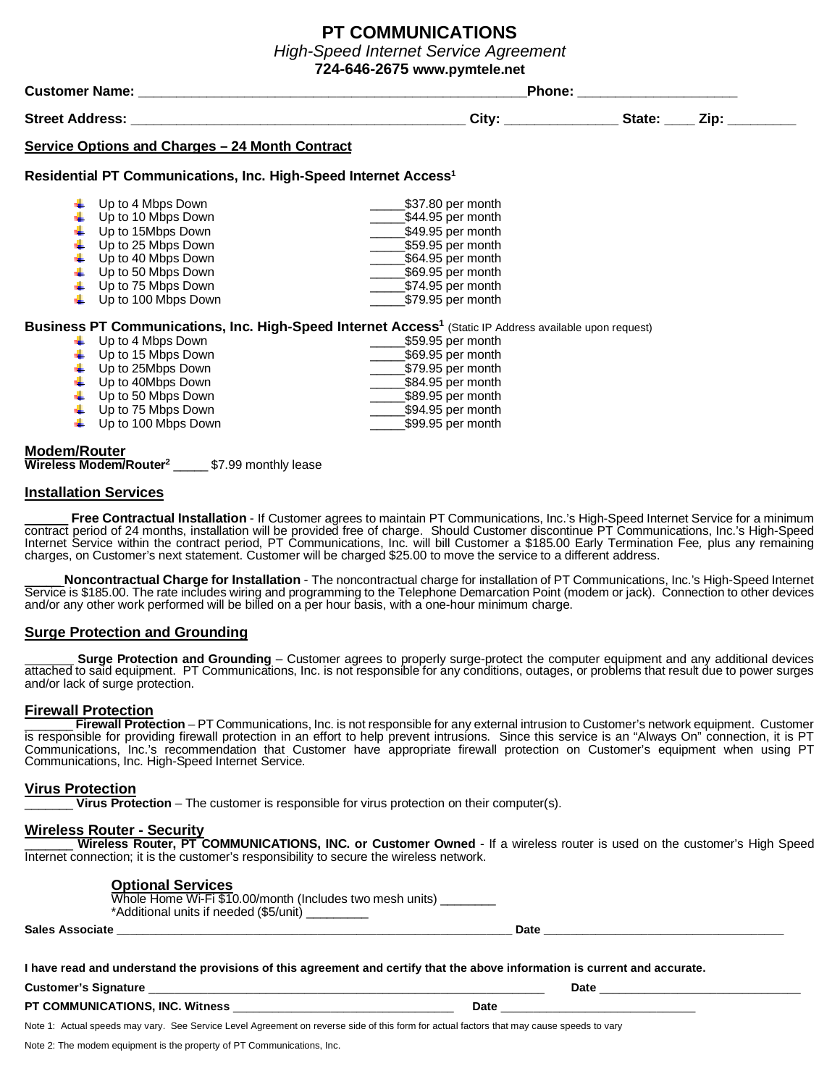# **PT COMMUNICATIONS** *High-Speed Internet Service Agreement*

**724-646-2675 www.pymtele.net**

| <b>Customer Name:</b><br><b>Street Address:</b> |                                                                                                                                                                             |                                                                                                                                                                      | <b>Phone:</b>  |  |
|-------------------------------------------------|-----------------------------------------------------------------------------------------------------------------------------------------------------------------------------|----------------------------------------------------------------------------------------------------------------------------------------------------------------------|----------------|--|
|                                                 |                                                                                                                                                                             | City:                                                                                                                                                                | State:<br>Zip: |  |
|                                                 | Service Options and Charges - 24 Month Contract                                                                                                                             |                                                                                                                                                                      |                |  |
|                                                 | Residential PT Communications, Inc. High-Speed Internet Access <sup>1</sup>                                                                                                 |                                                                                                                                                                      |                |  |
|                                                 | Up to 4 Mbps Down<br>Up to 10 Mbps Down<br>Up to 15Mbps Down<br>Up to 25 Mbps Down<br>Up to 40 Mbps Down<br>Up to 50 Mbps Down<br>Up to 75 Mbps Down<br>Up to 100 Mbps Down | \$37.80 per month<br>\$44.95 per month<br>\$49.95 per month<br>\$59.95 per month<br>\$64.95 per month<br>\$69.95 per month<br>\$74.95 per month<br>\$79.95 per month |                |  |
|                                                 |                                                                                                                                                                             | Business PT Communications, Inc. High-Speed Internet Access <sup>1</sup> (Static IP Address available upon request)                                                  |                |  |

| Up to 4 Mbps Down                | \$59.95 per month |
|----------------------------------|-------------------|
| Up to 15 Mbps Down               | \$69.95 per month |
| $\downarrow$ Up to 25Mbps Down   | \$79.95 per month |
| $\downarrow$ Up to 40Mbps Down   | \$84.95 per month |
| Up to 50 Mbps Down               | \$89.95 per month |
| Up to 75 Mbps Down               | \$94.95 per month |
| $\downarrow$ Up to 100 Mbps Down | \$99.95 per month |
|                                  |                   |

## **Modem/Router**

**Wireless Modem/Router<sup>2</sup>** \_\_\_\_\_ \$7.99 monthly lease

## **Installation Services**

Free Contractual Installation - If Customer agrees to maintain PT Communications, Inc.'s High-Speed Internet Service for a minimum contract period of 24 months, installation will be provided free of charge. Should Customer discontinue PT Communications, Inc.'s High-Speed Internet Service within the contract period, PT Communications, Inc. will bill Customer a \$185.00 Early Termination Fee*,* plus any remaining charges, on Customer's next statement. Customer will be charged \$25.00 to move the service to a different address.

\_\_\_\_\_ **Noncontractual Charge for Installation** - The noncontractual charge for installation of PT Communications, Inc.'s High-Speed Internet Service is \$185.00. The rate includes wiring and programming to the Telephone Demarcation Point (modem or jack). Connection to other devices and/or any other work performed will be billed on a per hour basis, with a one-hour minimum charge.

## **Surge Protection and Grounding**

**Surge Protection and Grounding** – Customer agrees to properly surge-protect the computer equipment and any additional devices attached to said equipment. PT Communications, Inc. is not responsible for any conditions, outages, or problems that result due to power surges and/or lack of surge protection.

## **Firewall Protection**

**Firewall Protection** – PT Communications, Inc. is not responsible for any external intrusion to Customer's network equipment. Customer is responsible for providing firewall protection in an effort to help prevent intrusions. Since this service is an "Always On" connection, it is PT Communications, Inc.'s recommendation that Customer have appropriate firewall protection on Customer's equipment when using PT Communications, Inc. High-Speed Internet Service.

## **Virus Protection**

\_\_\_\_\_\_\_ **Virus Protection** – The customer is responsible for virus protection on their computer(s).

## **Wireless Router - Security**

\_\_\_\_\_\_\_ **Wireless Router, PT COMMUNICATIONS, INC. or Customer Owned** - If a wireless router is used on the customer's High Speed Internet connection; it is the customer's responsibility to secure the wireless network.

## **Optional Services**

| <b>Sales Associate</b> |                                                                                                         | Date |
|------------------------|---------------------------------------------------------------------------------------------------------|------|
|                        | Whole Home Wi-Fi \$10.00/month<br>r (Includes two mesh units)<br>*Additional units if needed (\$5/unit) |      |

**I have read and understand the provisions of this agreement and certify that the above information is current and accurate.**

**Customer's Signature** \_\_\_\_\_\_\_\_\_\_\_\_\_\_\_\_\_\_\_\_\_\_\_\_\_\_\_\_\_\_\_\_\_\_\_\_\_\_\_\_\_\_\_\_\_\_\_\_\_\_\_\_\_\_\_\_\_\_\_\_\_ **Date** \_\_\_\_\_\_\_\_\_\_\_\_\_\_\_\_\_\_\_\_\_\_\_\_\_\_\_\_\_\_\_

**PT COMMUNICATIONS, INC. Witness** \_\_\_\_\_\_\_\_\_\_\_\_\_\_\_\_\_\_\_\_\_\_\_\_\_\_\_\_\_\_\_\_\_\_ **Date** \_\_\_\_\_\_\_\_\_\_\_\_\_\_\_\_\_\_\_\_\_\_\_\_\_\_\_\_\_\_

Note 1: Actual speeds may vary. See Service Level Agreement on reverse side of this form for actual factors that may cause speeds to vary

Note 2: The modem equipment is the property of PT Communications, Inc.